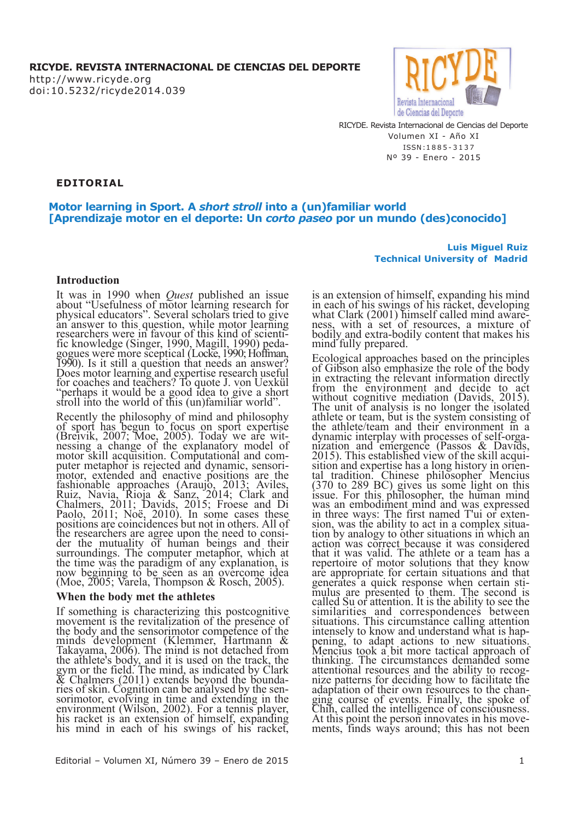http://www.ricyde.org doi:10.5232/ricyde2014.039



**Technical University of Madrid**

**Luis Miguel Ruiz**

RICYDE. Revista Internacional de Ciencias del Deporte Volumen XI - Año XI ISSN :1 8 8 5 - 3 1 3 7 Nº 39 - Enero - 2015

**EDITORIAL**

## **Motor learning in Sport. A** *short stroll* **into a (un)familiar world [Aprendizaje motor en el deporte: Un** *corto paseo* **por un mundo (des)conocido]**

# **Introduction**

It was in 1990 when *Quest* published an issue about "Usefulness of motor learning research for physical educators". Several scholars tried to give an answer to this question, while motor learning researchers were in favour of this kind of scientific knowledge (Singer, 1990, Magill, 1990) pedagogues were more sceptical (Locke, 1990; Hoffman, 1990). Is it still a question that needs an answer? Does motor learning and expertise research useful for coaches and teachers? To quote J. von Uexkül "perhaps it would be a good idea to give a short stroll into the world of this (un)familiar world".

Recently the philosophy of mind and philosophy of sport has begun to focus on sport expertise (Breivik, 2007; Moe, 2005). Today we are witnessing a change of the explanatory model of motor skill acquisition. Computational and computer metaphor is rejected and dynamic, sensorimotor, extended and enactive positions are the fashionable approaches (Araujo, 2013; Aviles, Ruiz, Navia, Rioja & Sanz, 2014; Clark and Chalmers, 2011; Davids, 2015; Froese and Di Paolo, 2011; Noë, 2010). In some cases these positions are coincidences but not in others. All of the researchers are agree upon the need to consider the mutuality of human beings and their surroundings. The computer metaphor, which at the time was the paradigm of any explanation, is now beginning to be seen as an overcome idea (Moe, 2005; Varela, Thompson & Rosch, 2005).

### **When the body met the athletes**

If something is characterizing this postcognitive movement is the revitalization of the presence of the body and the sensorimotor competence of the minds development (Klemmer, Hartmann & Takayama, 2006). The mind is not detached from the athlete's body, and it is used on the track, the gym or the field. The mind, as indicated by Clark & Chalmers (2011) extends beyond the boundaries of skin. Cognition can be analysed by the sensorimotor, evolving in time and extending in the environment (Wilson, 2002). For a tennis player, his racket is an extension of himself, expanding his mind in each of his swings of his racket,

is an extension of himself, expanding his mind in each of his swings of his racket, developing what Clark (2001) himself called mind awareness, with a set of resources, a mixture of bodily and extra-bodily content that makes his mind fully prepared.

Ecological approaches based on the principles of Gibson also emphasize the role of the body in extracting the relevant information directly from the environment and decide to act without cognitive mediation (Davids, 2015). The unit of analysis is no longer the isolated athlete or team, but is the system consisting of the athlete/team and their environment in a dynamic interplay with processes of self-organization and emergence (Passos & Davids, 2015). This established view of the skill acquisition and expertise has a long history in oriental tradition. Chinese philosopher Mencius  $(370 \text{ to } 289 \text{ BC})$  gives us some light on this issue. For this philosopher, the human mind was an embodiment mind and was expressed in three ways: The first named T'ui or extension, was the ability to act in a complex situation by analogy to other situations in which an action was correct because it was considered that it was valid. The athlete or a team has a repertoire of motor solutions that they know are appropriate for certain situations and that generates a quick response when certain stimulus are presented to them. The second is called Su or attention. It is the ability to see the similarities and correspondences between situations. This circumstance calling attention intensely to know and understand what is happening, to adapt actions to new situations. Mencius took a bit more tactical approach of thinking. The circumstances demanded some attentional resources and the ability to recognize patterns for deciding how to facilitate the adaptation of their own resources to the changing course of events. Finally, the spoke of Chih, called the intelligence of consciousness. At this point the person innovates in his movements, finds ways around; this has not been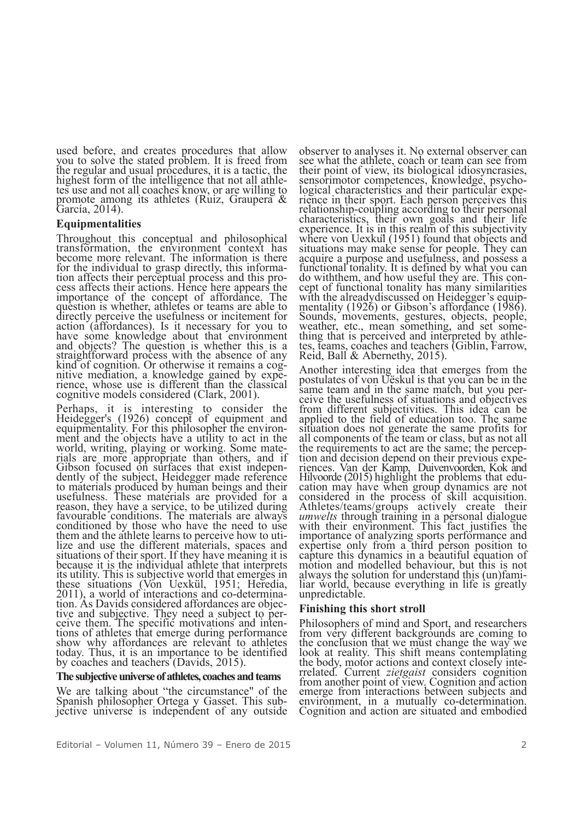used before, and creates procedures that allow you to solve the stated problem. It is freed from the regular and usual procedures, it is a tactic, the highest form of the intelligence that not all athle-<br>tes use and not all coaches know, or are willing to promote among its athletes (Ruiz, Graupera  $\&$ García, 2014).

## **Equipmentalities**

Throughout this conceptual and philosophical transformation, the environment context has become more relevant. The information is there for the individual to grasp directly, this informafrom affects their perceptual process and this process affects their actions. Hence here appears the importance of the concept of affordance. The question is whether, athletes or teams are able to directly perceive the usefulness or incitement for action (affordances). Is it necessary for you to have some knowledge about that environment and objects? The question is whether this is a straightforward process with the absence of any kind of cognition. Or otherwise it remains a cognitive mediation, a knowledge gained by experience, whose use is different than the classical cognitive models considered (Clark, 2001).

Perhaps, it is interesting to consider the Heidegger's (1926) concept of equipment and equipmentality. For this philosopher the environ- ment and the objects have <sup>a</sup> utility to act in the world, writing, playing or working. Some mate-<br>rials are more appropriate than others, and if Gibson focused on surfaces that exist independently of the subject, Heidegger made reference to materials produced by human beings and their usefulness. These materials are provided for a reason, they have <sup>a</sup> service, to be utilized during favourable conditions. The materials are always favourable conditions. The materials are always<br>conditioned by those who have the need to use them and the athlete learns to perceive how to uti- lize and use the different materials, spaces and situations of their sport. If they have meaning it is because it is the individual athlete that interprets its utility. This is subjective world that emerges in these situations (Von Uexkül, 1951; Heredia, 2011), a world of interactions and co-determination. As Davids considered affordances are objective and subjective. They need a subject to perceive them. The specific motivation tions of athletes that emerge during performance<br>show why affordances are relevant to athletes today. Thus, it is an importance to be identified by coaches and teachers (Davids, 2015).

### **The** subjective universe of athletes, coaches and teams

We are talking about "the circumstance" of the Spanish philosopher Ortega y Gasset. This subjective universe is independent of any outside.

observer to analyses it. No external observer can see what the athlete, coach or team can see from their point of view, its biological idiosyncrasies, sensorimotor competences, knowledge, psychological characteristics and their particular experience in their sport. Each person perceives this relationship-coupling according to their personal characteristics, their own goals and their life experience. It is in this realm of this subjectivity where von Uexkül (1951) found that objects and situations may make sense for people. They can acquire a purpose and usefulness, and possess a functional tonality. It is defined by what you can do withthem, and how useful they are. This con- cept of functional tonality has many similarities cept of functional tonality has many similarities<br>with the already<br>discussed on Heidegger's equip-<br>mentality (1926) or Gibson's affordance (1986).<br>Sounds, movements, gestures, objects, people,<br>weather, etc., mean something

Another interesting idea that emerges from the postulates of von Uëskul is that you can be in the same team and in the same match, but you per-<br>ceive the usefulness of situations and objectives from different subjectivities. This idea can be applied to the field of education too. The same situation does not generate the same profits for all components of the team or class, but as not all the requirements to act are the same; the perception and decision depend on their previous experiences. Van der Kamp, Duivenvoorden, Kok and Hilvoorde (2015) highlight the problems that edu-Hilvoorde (2015) highlight the problems that edu- cation may have when group dynamics are not considered in the process of skill acquisition.<br>Athletes/teams/groups actively create their *umwelts* through training in a personal dialogue with their environment. This fact justifies the importance of analyzing sports performance and expertise only from a third person position to capture this dynamics in a beautiful equation of motion and modelled behaviour, but this is not always the solution for understand this (un)fami- liar world, because everything in life is greatly liar world, because everything in life is greatly unpredictable.

## **Finishing this short stroll**

Philosophers of mind and Sport, and researchers from very different backgrounds are coming to the conclusion that we must change the way we look at reality. This shift means contemplating the body, motor actions and context closely inte- rrelated. Current *zietgaist* considers cognition from another point of view. Cognition and action emerge from interactions between subjects and environment, in <sup>a</sup> mutually co-determination. Cognition and action are situated and embodied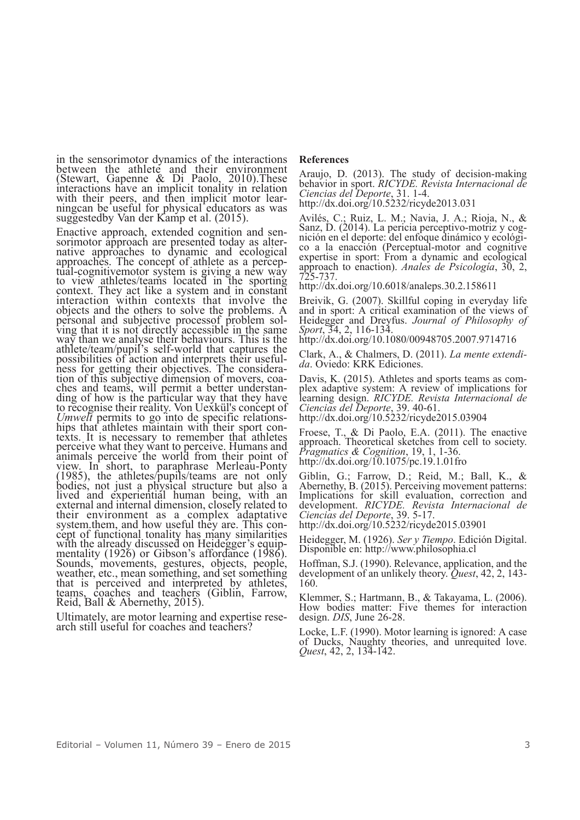in the sensorimotor dynamics of the interactions between the athlete and their environment (Stewart, Gapenne & Di Paolo, 2010).These interactions have an implicit tonality in relation with their peers, and then implicit motor lear-<br>ningcan be useful for physical educators as was suggestedby Van der Kamp et al. (2015).

Enactive approach, extended cognition and sen-<br>sorimotor approach are presented today as alter-<br>native approaches to dynamic and ecological approaches. The concept of athlete as <sup>a</sup> percep- tual-cognitivemotor system is giving <sup>a</sup> new way to view athletes/teams located in the sporting context. They act like a system and in constant interaction within contexts that involve the objects and the others to solve the problems. A personal and subjective processof problem sol- ving that it is not directly accessible in the same ving that it is not directly accessible in the same<br>way than we analyse their behaviours. This is the athlete/team/pupil's self-world that captures the possibilities of action and interprets their useful-<br>ness for getting their objectives. The considera-<br>tion of this subjective dimension of movers, coa-<br>ches and teams, will permit a better understan-<br>ding of how is the pa to recognise their reality. Von Uexkül's concept of *Umwelt* permits to go into de specific relations-<br>hips that athletes maintain with their sport con-<br>texts. It is necessary to remember that athletes perceive what they want to perceive. Humans and animals perceive the world from their point of view. In short, to paraphrase Merleau-Ponty (1985), the athletes/pupils/teams are not only bodies, not just <sup>a</sup> physical structure but also <sup>a</sup> lived and experiential human being, with an external and internal dimension, closely related to their environment as a complex adaptative system.them, and how useful they are. This concept of functional tonality has many similarities with the already discussed on Heidegger's equipwith the already discussed on Heidegger's equip-<br>mentality (1926) or Gibson's affordance (1986).<br>Sounds, movements, gestures, objects, people,<br>weather, etc., mean something, and set something that is perceived and interpreted by athletes, teams, coaches and teachers (Giblin, Farrow, Reid, Ball & Abernethy, 2015).

Ultimately, are motor learning and expertise rese- arch still useful for coaches and teachers?

#### **References**

Araujo, D. (2013). The study of decision-making behavior in sport. *RICYDE. Revista Internacional de Ciencias del Deporte*, 31. 1-4. http://dx.doi.org/10.5232/ricyde2013.031

Avilés, C.; Ruiz, L. M.; Navia, J. A.; Rioja, N., & Sanz, D. (2014). La pericia perceptivo-motriz <sup>y</sup> cog- nición en el deporte: del enfoque dinámico <sup>y</sup> ecológi- co <sup>a</sup> la enacción (Perceptual-motor and cognitive expertise in sport: From a dynamic and ecological approach to enaction). *Anales de Psicología*, 30, 2, 725-737. http://dx.doi.org/10.6018/analeps.30.2.158611

Breivik, G. (2007). Skillful coping in everyday life and in sport: A critical examination of the views of Heidegger and Dreyfus. *Journal of Philosophy of Sport*, 34, 2, 116-134. http://dx.doi.org/10.1080/00948705.2007.9714716

Clark, A., & Chalmers, D. (2011). *La mente extendi- da*. Oviedo: KRK Ediciones.

Davis, K. (2015). Athletes and sports teams as com-<br>plex adaptive system: A review of implications for learning design. *RICYDE. Revista Internacional de Ciencias del Deporte*, 39. 40-61. http://dx.doi.org/10.5232/ricyde2015.03904

Froese, T., & Di Paolo, E.A. (2011). The enactive approach. Theoretical sketches from cell to society. *Pragmatics & Cognition*, 19, 1, 1-36. http://dx.doi.org/10.1075/pc.19.1.01fro

Giblin, G.; Farrow, D.; Reid, M.; Ball, K., & Abernethy, B. (2015). Perceiving movement patterns: Implications for skill evaluation, correction and development. *RICYDE. Revista Internacional de Ciencias del Deporte*, 39. 5-17. http://dx.doi.org/10.5232/ricyde2015.03901

Heidegger, M. (1926). *Ser <sup>y</sup> Tiempo*. Edición Digital. Disponible en: http://www.philosophia.cl

Hoffman, S.J. (1990). Relevance, application, and the development of an unlikely theory. *Quest*, 42, 2, 143- 160.

Klemmer, S.; Hartmann, B., & Takayama, L. (2006). How bodies matter: Five themes for interaction design. *DIS*, June 26-28.

Locke, L.F. (1990). Motor learning is ignored: A case of Ducks, Naughty theories, and unrequited love. *Quest*, 42, 2, 134-142.